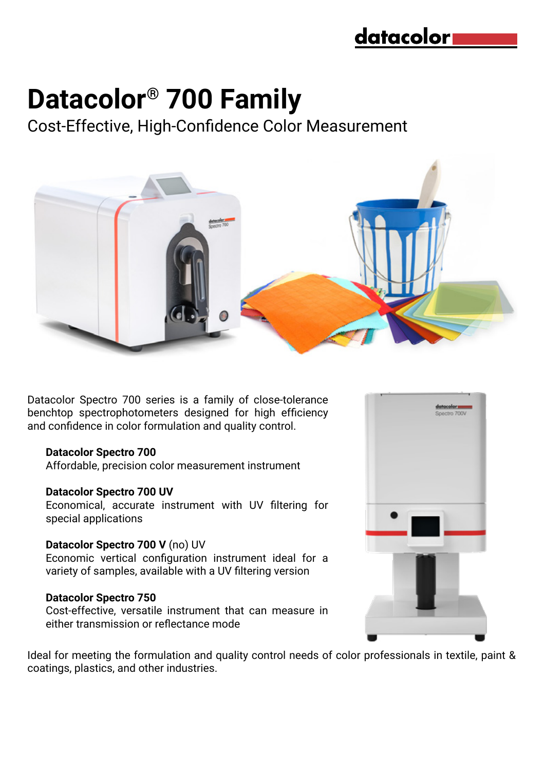# **Datacolor® 700 Family**

Cost-Effective, High-Confidence Color Measurement



Datacolor Spectro 700 series is a family of close-tolerance benchtop spectrophotometers designed for high efficiency and confidence in color formulation and quality control.

#### **Datacolor Spectro 700**

Affordable, precision color measurement instrument

#### **Datacolor Spectro 700 UV**

Economical, accurate instrument with UV filtering for special applications

#### **Datacolor Spectro 700 V** (no) UV

Economic vertical configuration instrument ideal for a variety of samples, available with a UV filtering version

#### **Datacolor Spectro 750**

Cost-effective, versatile instrument that can measure in either transmission or reflectance mode



Ideal for meeting the formulation and quality control needs of color professionals in textile, paint & coatings, plastics, and other industries.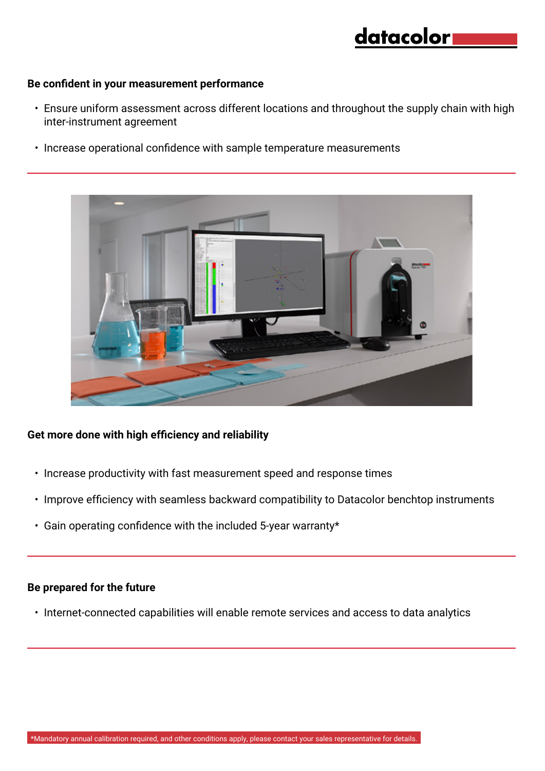### datacolor

#### **Be confident in your measurement performance**

- Ensure uniform assessment across different locations and throughout the supply chain with high inter-instrument agreement
- Increase operational confidence with sample temperature measurements



#### **Get more done with high efficiency and reliability**

- Increase productivity with fast measurement speed and response times
- Improve efficiency with seamless backward compatibility to Datacolor benchtop instruments
- Gain operating confidence with the included 5-year warranty\*

#### **Be prepared for the future**

• Internet-connected capabilities will enable remote services and access to data analytics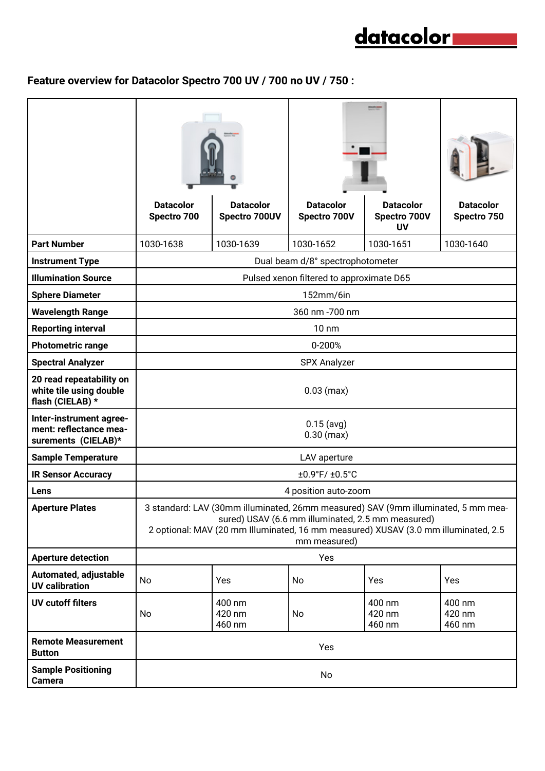## <u>datacolor</u>

### **Feature overview for Datacolor Spectro 700 UV / 700 no UV / 750 :**

|                                                                          | <b>Datacolor</b><br>Spectro 700                                                                                                                                                                                                              | <b>Datacolor</b><br>Spectro 700UV | <b>Datacolor</b><br>Spectro 700V | <b>Datacolor</b><br>Spectro 700V<br><b>UV</b> | <b>Datacolor</b><br>Spectro 750 |
|--------------------------------------------------------------------------|----------------------------------------------------------------------------------------------------------------------------------------------------------------------------------------------------------------------------------------------|-----------------------------------|----------------------------------|-----------------------------------------------|---------------------------------|
| <b>Part Number</b>                                                       | 1030-1638                                                                                                                                                                                                                                    | 1030-1639                         | 1030-1652                        | 1030-1651                                     | 1030-1640                       |
| <b>Instrument Type</b>                                                   | Dual beam d/8° spectrophotometer                                                                                                                                                                                                             |                                   |                                  |                                               |                                 |
| <b>Illumination Source</b>                                               | Pulsed xenon filtered to approximate D65                                                                                                                                                                                                     |                                   |                                  |                                               |                                 |
| <b>Sphere Diameter</b>                                                   | 152mm/6in                                                                                                                                                                                                                                    |                                   |                                  |                                               |                                 |
| <b>Wavelength Range</b>                                                  | 360 nm -700 nm                                                                                                                                                                                                                               |                                   |                                  |                                               |                                 |
| <b>Reporting interval</b>                                                | $10 \text{ nm}$                                                                                                                                                                                                                              |                                   |                                  |                                               |                                 |
| <b>Photometric range</b>                                                 | 0-200%                                                                                                                                                                                                                                       |                                   |                                  |                                               |                                 |
| <b>Spectral Analyzer</b>                                                 | <b>SPX Analyzer</b>                                                                                                                                                                                                                          |                                   |                                  |                                               |                                 |
| 20 read repeatability on<br>white tile using double<br>flash (CIELAB) *  | $0.03$ (max)                                                                                                                                                                                                                                 |                                   |                                  |                                               |                                 |
| Inter-instrument agree-<br>ment: reflectance mea-<br>surements (CIELAB)* | $0.15$ (avg)<br>$0.30$ (max)                                                                                                                                                                                                                 |                                   |                                  |                                               |                                 |
| <b>Sample Temperature</b>                                                | LAV aperture                                                                                                                                                                                                                                 |                                   |                                  |                                               |                                 |
| <b>IR Sensor Accuracy</b>                                                | ±0.9°F/ ±0.5°C                                                                                                                                                                                                                               |                                   |                                  |                                               |                                 |
| Lens                                                                     | 4 position auto-zoom                                                                                                                                                                                                                         |                                   |                                  |                                               |                                 |
| <b>Aperture Plates</b>                                                   | 3 standard: LAV (30mm illuminated, 26mm measured) SAV (9mm illuminated, 5 mm mea-<br>sured) USAV (6.6 mm illuminated, 2.5 mm measured)<br>2 optional: MAV (20 mm Illuminated, 16 mm measured) XUSAV (3.0 mm illuminated, 2.5<br>mm measured) |                                   |                                  |                                               |                                 |
| <b>Aperture detection</b>                                                | Yes                                                                                                                                                                                                                                          |                                   |                                  |                                               |                                 |
| Automated, adjustable<br><b>UV</b> calibration                           | No                                                                                                                                                                                                                                           | Yes                               | No                               | Yes                                           | Yes                             |
| <b>UV cutoff filters</b>                                                 | No                                                                                                                                                                                                                                           | 400 nm<br>420 nm<br>460 nm        | No                               | 400 nm<br>420 nm<br>460 nm                    | 400 nm<br>420 nm<br>460 nm      |
| <b>Remote Measurement</b><br><b>Button</b>                               | Yes                                                                                                                                                                                                                                          |                                   |                                  |                                               |                                 |
| <b>Sample Positioning</b><br><b>Camera</b>                               | No                                                                                                                                                                                                                                           |                                   |                                  |                                               |                                 |